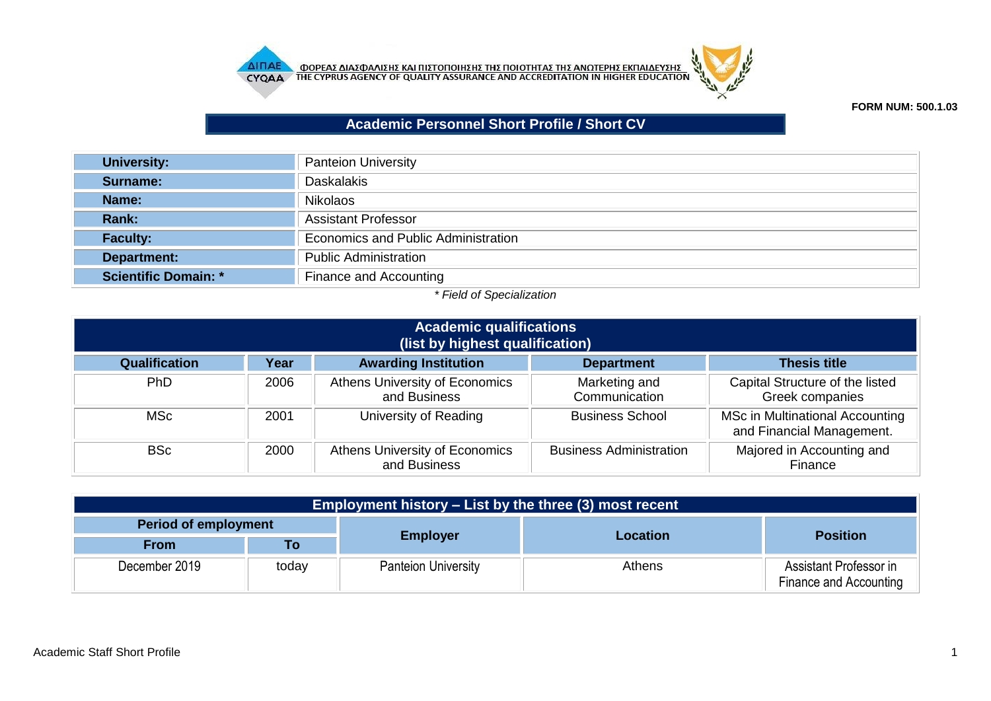



## **FORM NUM: 500.1.03**

## **Academic Personnel Short Profile / Short CV**

| <b>University:</b>   | <b>Panteion University</b>          |
|----------------------|-------------------------------------|
| Surname:             | <b>Daskalakis</b>                   |
| Name:                | <b>Nikolaos</b>                     |
| <b>Rank:</b>         | <b>Assistant Professor</b>          |
| <b>Faculty:</b>      | Economics and Public Administration |
| Department:          | <b>Public Administration</b>        |
| Scientific Domain: * | Finance and Accounting              |

## *\* Field of Specialization*

| <b>Academic qualifications</b><br>(list by highest qualification)                                |      |                                                |                                |                                                              |  |  |
|--------------------------------------------------------------------------------------------------|------|------------------------------------------------|--------------------------------|--------------------------------------------------------------|--|--|
| <b>Awarding Institution</b><br>Qualification<br>Year<br><b>Thesis title</b><br><b>Department</b> |      |                                                |                                |                                                              |  |  |
| <b>PhD</b>                                                                                       | 2006 | Athens University of Economics<br>and Business | Marketing and<br>Communication | Capital Structure of the listed<br><b>Greek companies</b>    |  |  |
| MSc                                                                                              | 2001 | University of Reading                          | <b>Business School</b>         | MSc in Multinational Accounting<br>and Financial Management. |  |  |
| BSc                                                                                              | 2000 | Athens University of Economics<br>and Business | <b>Business Administration</b> | Majored in Accounting and<br>Finance                         |  |  |

| Employment history – List by the three (3) most recent |       |                            |          |                                                  |  |  |
|--------------------------------------------------------|-------|----------------------------|----------|--------------------------------------------------|--|--|
| <b>Period of employment</b>                            |       |                            |          |                                                  |  |  |
| <b>From</b>                                            | Τo    | <b>Employer</b>            | Location | <b>Position</b>                                  |  |  |
| December 2019                                          | today | <b>Panteion University</b> | Athens   | Assistant Professor in<br>Finance and Accounting |  |  |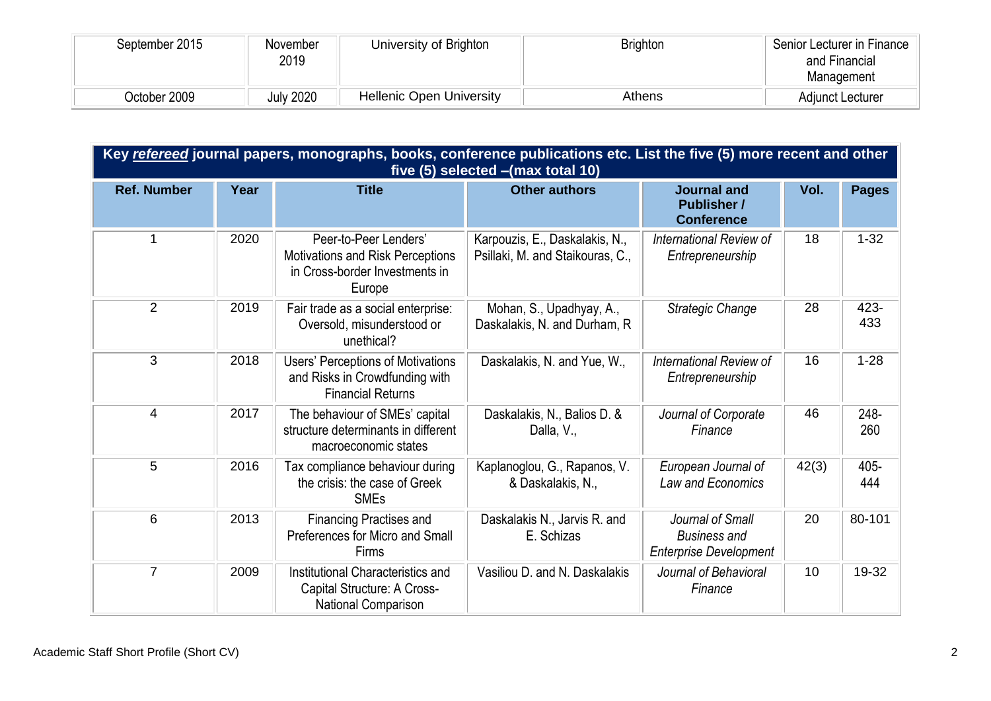| September 2015 | November<br>2019 | University of Brighton          | <b>Brighton</b> | Senior Lecturer in Finance<br>and Financial<br>Management |
|----------------|------------------|---------------------------------|-----------------|-----------------------------------------------------------|
| October 2009   | <b>July 2020</b> | <b>Hellenic Open University</b> | <b>Athens</b>   | <b>Adjunct Lecturer</b>                                   |

|                    | Key refereed journal papers, monographs, books, conference publications etc. List the five (5) more recent and other<br>five (5) selected - (max total 10) |                                                                                                        |                                                                    |                                                                          |       |              |
|--------------------|------------------------------------------------------------------------------------------------------------------------------------------------------------|--------------------------------------------------------------------------------------------------------|--------------------------------------------------------------------|--------------------------------------------------------------------------|-------|--------------|
| <b>Ref. Number</b> | Year                                                                                                                                                       | <b>Title</b>                                                                                           | <b>Other authors</b>                                               | <b>Journal and</b><br><b>Publisher /</b><br><b>Conference</b>            | Vol.  | <b>Pages</b> |
|                    | 2020                                                                                                                                                       | Peer-to-Peer Lenders'<br>Motivations and Risk Perceptions<br>in Cross-border Investments in<br>Europe  | Karpouzis, E., Daskalakis, N.,<br>Psillaki, M. and Staikouras, C., | International Review of<br>Entrepreneurship                              | 18    | $1 - 32$     |
| $\overline{2}$     | 2019                                                                                                                                                       | Fair trade as a social enterprise:<br>Oversold, misunderstood or<br>unethical?                         | Mohan, S., Upadhyay, A.,<br>Daskalakis, N. and Durham, R.          | Strategic Change                                                         | 28    | 423-<br>433  |
| 3                  | 2018                                                                                                                                                       | <b>Users' Perceptions of Motivations</b><br>and Risks in Crowdfunding with<br><b>Financial Returns</b> | Daskalakis, N. and Yue, W.,                                        | International Review of<br>Entrepreneurship                              | 16    | $1 - 28$     |
| 4                  | 2017                                                                                                                                                       | The behaviour of SMEs' capital<br>structure determinants in different<br>macroeconomic states          | Daskalakis, N., Balios D. &<br>Dalla, V.,                          | Journal of Corporate<br>Finance                                          | 46    | 248-<br>260  |
| 5                  | 2016                                                                                                                                                       | Tax compliance behaviour during<br>the crisis: the case of Greek<br><b>SMEs</b>                        | Kaplanoglou, G., Rapanos, V.<br>& Daskalakis, N.,                  | European Journal of<br>Law and Economics                                 | 42(3) | 405-<br>444  |
| 6                  | 2013                                                                                                                                                       | <b>Financing Practises and</b><br>Preferences for Micro and Small<br>Firms                             | Daskalakis N., Jarvis R. and<br>E. Schizas                         | Journal of Small<br><b>Business and</b><br><b>Enterprise Development</b> | 20    | 80-101       |
| $\overline{7}$     | 2009                                                                                                                                                       | Institutional Characteristics and<br>Capital Structure: A Cross-<br>National Comparison                | Vasiliou D. and N. Daskalakis                                      | Journal of Behavioral<br>Finance                                         | 10    | 19-32        |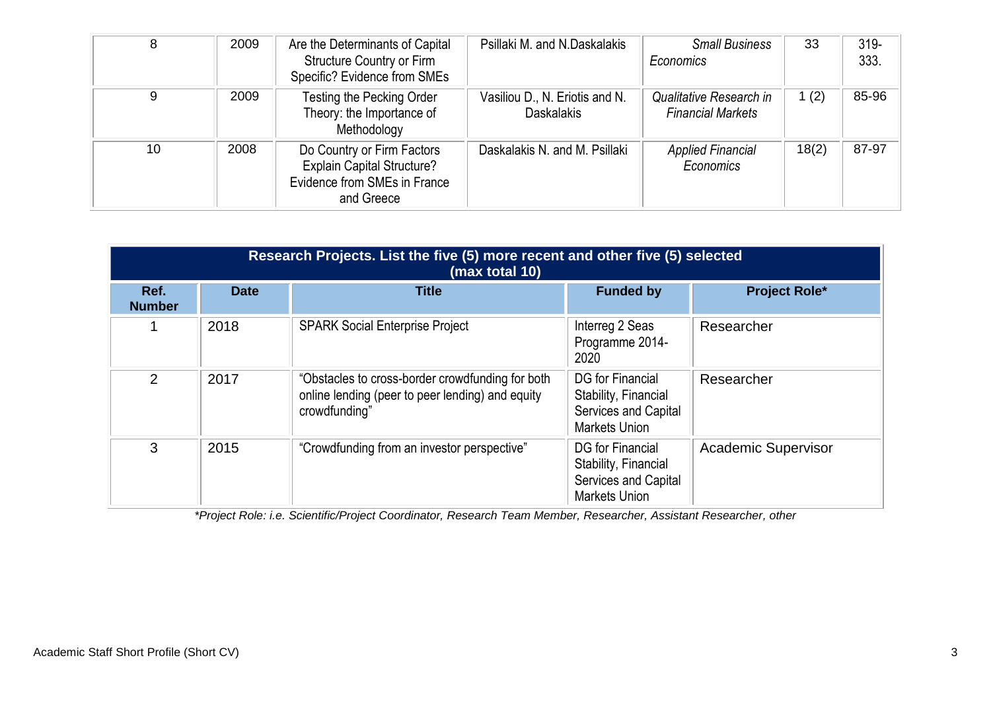| 8  | 2009 | Are the Determinants of Capital<br><b>Structure Country or Firm</b><br>Specific? Evidence from SMEs           | Psillaki M. and N.Daskalakis                        | <b>Small Business</b><br>Economics                  | 33      | $319 -$<br>333. |
|----|------|---------------------------------------------------------------------------------------------------------------|-----------------------------------------------------|-----------------------------------------------------|---------|-----------------|
| 9  | 2009 | Testing the Pecking Order<br>Theory: the Importance of<br>Methodology                                         | Vasiliou D., N. Eriotis and N.<br><b>Daskalakis</b> | Qualitative Research in<br><b>Financial Markets</b> | 1 $(2)$ | 85-96           |
| 10 | 2008 | Do Country or Firm Factors<br><b>Explain Capital Structure?</b><br>Evidence from SMEs in France<br>and Greece | Daskalakis N. and M. Psillaki                       | <b>Applied Financial</b><br>Economics               | 18(2)   | 87-97           |

|                       | Research Projects. List the five (5) more recent and other five (5) selected<br>(max total 10) |                                                                                                                       |                                                                                                 |                            |  |  |  |
|-----------------------|------------------------------------------------------------------------------------------------|-----------------------------------------------------------------------------------------------------------------------|-------------------------------------------------------------------------------------------------|----------------------------|--|--|--|
| Ref.<br><b>Number</b> | <b>Date</b>                                                                                    | <b>Title</b>                                                                                                          | <b>Funded by</b>                                                                                | <b>Project Role*</b>       |  |  |  |
|                       | 2018                                                                                           | <b>SPARK Social Enterprise Project</b>                                                                                | Interreg 2 Seas<br>Programme 2014-<br>2020                                                      | Researcher                 |  |  |  |
| 2                     | 2017                                                                                           | "Obstacles to cross-border crowdfunding for both<br>online lending (peer to peer lending) and equity<br>crowdfunding" | <b>DG</b> for Financial<br>Stability, Financial<br>Services and Capital<br><b>Markets Union</b> | Researcher                 |  |  |  |
| 3                     | 2015                                                                                           | "Crowdfunding from an investor perspective"                                                                           | DG for Financial<br>Stability, Financial<br>Services and Capital<br><b>Markets Union</b>        | <b>Academic Supervisor</b> |  |  |  |

*\*Project Role: i.e. Scientific/Project Coordinator, Research Team Member, Researcher, Assistant Researcher, other*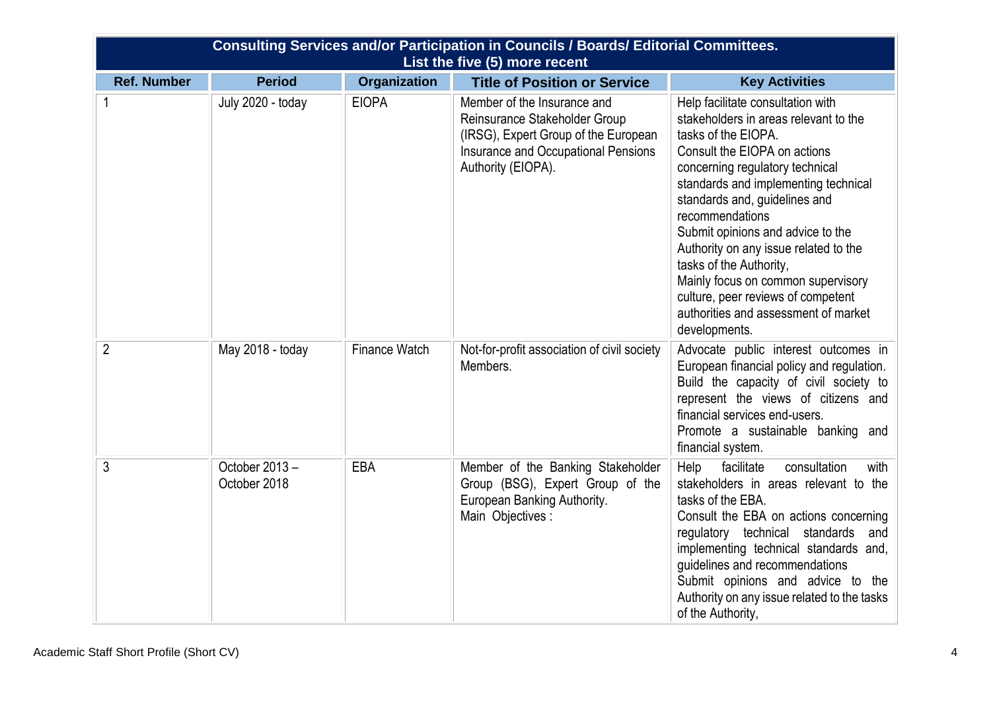|                    |                               |                      | <b>Consulting Services and/or Participation in Councils / Boards/ Editorial Committees.</b><br>List the five (5) more recent                                      |                                                                                                                                                                                                                                                                                                                                                                                                                                                                                                                |
|--------------------|-------------------------------|----------------------|-------------------------------------------------------------------------------------------------------------------------------------------------------------------|----------------------------------------------------------------------------------------------------------------------------------------------------------------------------------------------------------------------------------------------------------------------------------------------------------------------------------------------------------------------------------------------------------------------------------------------------------------------------------------------------------------|
| <b>Ref. Number</b> | <b>Period</b>                 | <b>Organization</b>  | <b>Title of Position or Service</b>                                                                                                                               | <b>Key Activities</b>                                                                                                                                                                                                                                                                                                                                                                                                                                                                                          |
| 1                  | July 2020 - today             | <b>EIOPA</b>         | Member of the Insurance and<br>Reinsurance Stakeholder Group<br>(IRSG), Expert Group of the European<br>Insurance and Occupational Pensions<br>Authority (EIOPA). | Help facilitate consultation with<br>stakeholders in areas relevant to the<br>tasks of the EIOPA.<br>Consult the EIOPA on actions<br>concerning regulatory technical<br>standards and implementing technical<br>standards and, guidelines and<br>recommendations<br>Submit opinions and advice to the<br>Authority on any issue related to the<br>tasks of the Authority,<br>Mainly focus on common supervisory<br>culture, peer reviews of competent<br>authorities and assessment of market<br>developments. |
| $\overline{2}$     | May 2018 - today              | <b>Finance Watch</b> | Not-for-profit association of civil society<br>Members.                                                                                                           | Advocate public interest outcomes in<br>European financial policy and regulation.<br>Build the capacity of civil society to<br>represent the views of citizens and<br>financial services end-users.<br>Promote a sustainable banking and<br>financial system.                                                                                                                                                                                                                                                  |
| $\mathfrak{Z}$     | October 2013-<br>October 2018 | EBA                  | Member of the Banking Stakeholder<br>Group (BSG), Expert Group of the<br>European Banking Authority.<br>Main Objectives :                                         | consultation<br>Help<br>facilitate<br>with<br>stakeholders in areas relevant to the<br>tasks of the EBA.<br>Consult the EBA on actions concerning<br>regulatory technical standards and<br>implementing technical standards and,<br>guidelines and recommendations<br>Submit opinions and advice to the<br>Authority on any issue related to the tasks<br>of the Authority,                                                                                                                                    |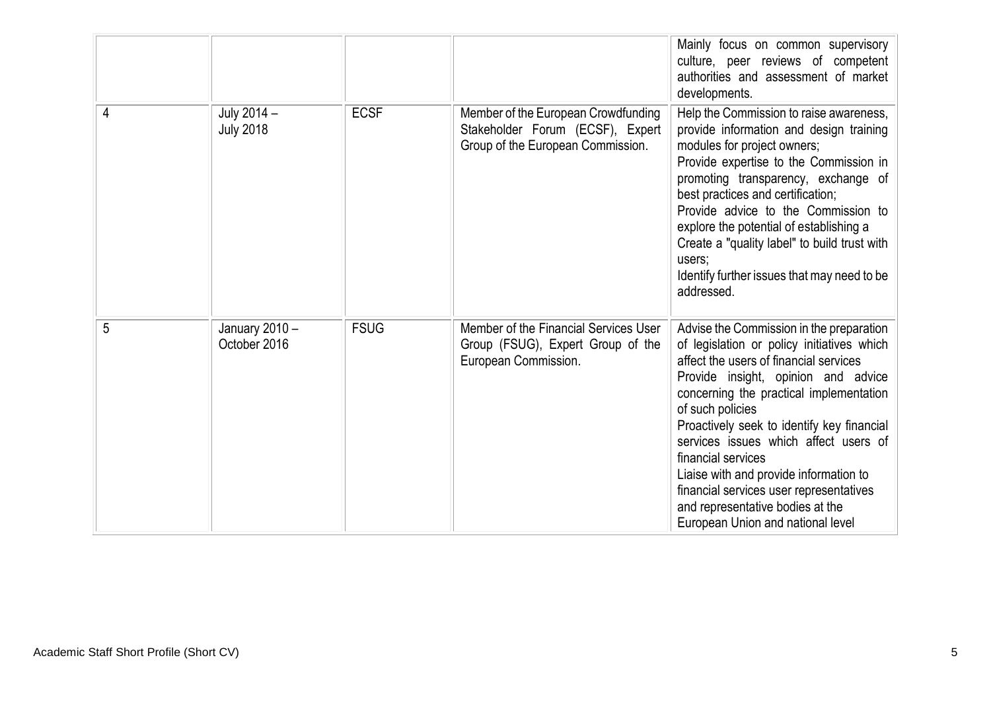|   |                                 |             |                                                                                                              | Mainly focus on common supervisory<br>culture, peer reviews of competent<br>authorities and assessment of market<br>developments.                                                                                                                                                                                                                                                                                                                                                                                 |
|---|---------------------------------|-------------|--------------------------------------------------------------------------------------------------------------|-------------------------------------------------------------------------------------------------------------------------------------------------------------------------------------------------------------------------------------------------------------------------------------------------------------------------------------------------------------------------------------------------------------------------------------------------------------------------------------------------------------------|
| 4 | July 2014 -<br><b>July 2018</b> | <b>ECSF</b> | Member of the European Crowdfunding<br>Stakeholder Forum (ECSF), Expert<br>Group of the European Commission. | Help the Commission to raise awareness,<br>provide information and design training<br>modules for project owners;<br>Provide expertise to the Commission in<br>promoting transparency, exchange of<br>best practices and certification;<br>Provide advice to the Commission to<br>explore the potential of establishing a<br>Create a "quality label" to build trust with<br>users;<br>Identify further issues that may need to be<br>addressed.                                                                  |
| 5 | January 2010 -<br>October 2016  | <b>FSUG</b> | Member of the Financial Services User<br>Group (FSUG), Expert Group of the<br>European Commission.           | Advise the Commission in the preparation<br>of legislation or policy initiatives which<br>affect the users of financial services<br>Provide insight, opinion and advice<br>concerning the practical implementation<br>of such policies<br>Proactively seek to identify key financial<br>services issues which affect users of<br>financial services<br>Liaise with and provide information to<br>financial services user representatives<br>and representative bodies at the<br>European Union and national level |